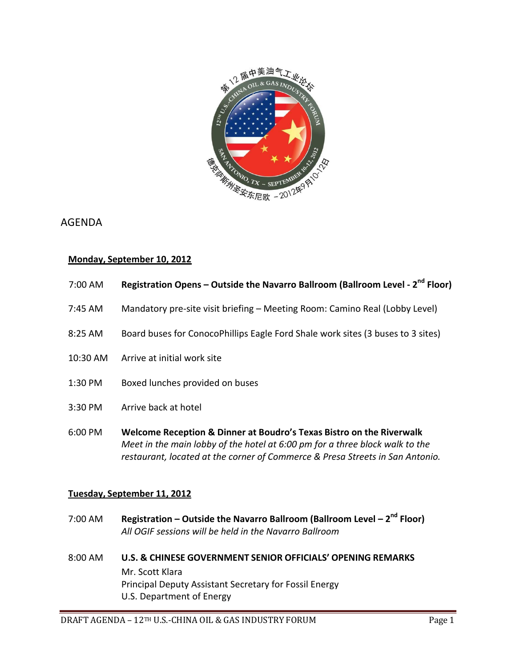

# AGENDA

# **Monday, September 10, 2012**

| 7:00 AM | Registration Opens - Outside the Navarro Ballroom (Ballroom Level - 2 <sup>nd</sup> Floor) |
|---------|--------------------------------------------------------------------------------------------|
|---------|--------------------------------------------------------------------------------------------|

- 7:45 AM Mandatory pre-site visit briefing Meeting Room: Camino Real (Lobby Level)
- 8:25 AM Board buses for ConocoPhillips Eagle Ford Shale work sites (3 buses to 3 sites)
- 10:30 AM Arrive at initial work site
- 1:30 PM Boxed lunches provided on buses
- 3:30 PM Arrive back at hotel
- 6:00 PM **Welcome Reception & Dinner at Boudro's Texas Bistro on the Riverwalk** *Meet in the main lobby of the hotel at 6:00 pm for a three block walk to the restaurant, located at the corner of Commerce & Presa Streets in San Antonio.*

# **Tuesday, September 11, 2012**

- 7:00 AM **Registration – Outside the Navarro Ballroom (Ballroom Level – 2 nd Floor)** *All OGIF sessions will be held in the Navarro Ballroom*
- 8:00 AM **U.S. & CHINESE GOVERNMENT SENIOR OFFICIALS' OPENING REMARKS** Mr. Scott Klara Principal Deputy Assistant Secretary for Fossil Energy U.S. Department of Energy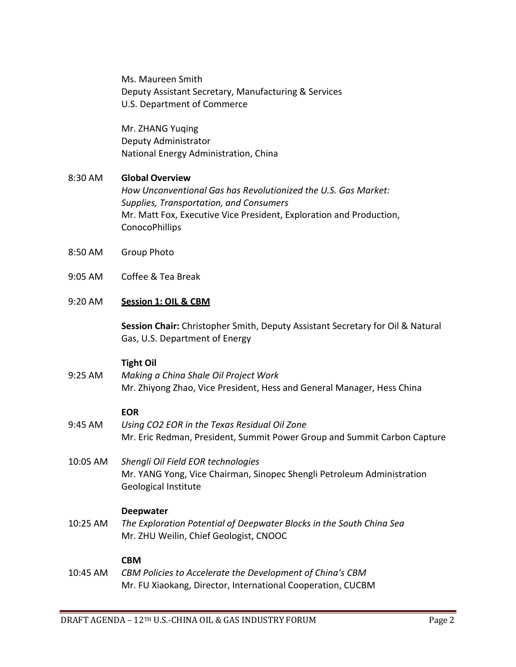Ms. Maureen Smith Deputy Assistant Secretary, Manufacturing & Services U.S. Department of Commerce

Mr. ZHANG Yuqing Deputy Administrator National Energy Administration, China

# 8:30 AM **Global Overview**

*How Unconventional Gas has Revolutionized the U.S. Gas Market: Supplies, Transportation, and Consumers* Mr. Matt Fox, Executive Vice President, Exploration and Production, ConocoPhillips

- 8:50 AM Group Photo
- 9:05 AM Coffee & Tea Break

# 9:20 AM **Session 1: OIL & CBM**

**Session Chair:** Christopher Smith, Deputy Assistant Secretary for Oil & Natural Gas, U.S. Department of Energy

# **Tight Oil**

9:25 AM *Making a China Shale Oil Project Work* Mr. Zhiyong Zhao, Vice President, Hess and General Manager, Hess China

# **EOR**

- 9:45 AM *Using CO2 EOR in the Texas Residual Oil Zone* Mr. Eric Redman, President, Summit Power Group and Summit Carbon Capture
- 10:05 AM *Shengli Oil Field EOR technologies*  Mr. YANG Yong, Vice Chairman, Sinopec Shengli Petroleum Administration Geological Institute

# **Deepwater**

10:25 AM *The Exploration Potential of Deepwater Blocks in the South China Sea* Mr. ZHU Weilin, Chief Geologist, CNOOC

# **CBM**

10:45 AM *CBM Policies to Accelerate the Development of China's CBM* Mr. FU Xiaokang, Director, International Cooperation, CUCBM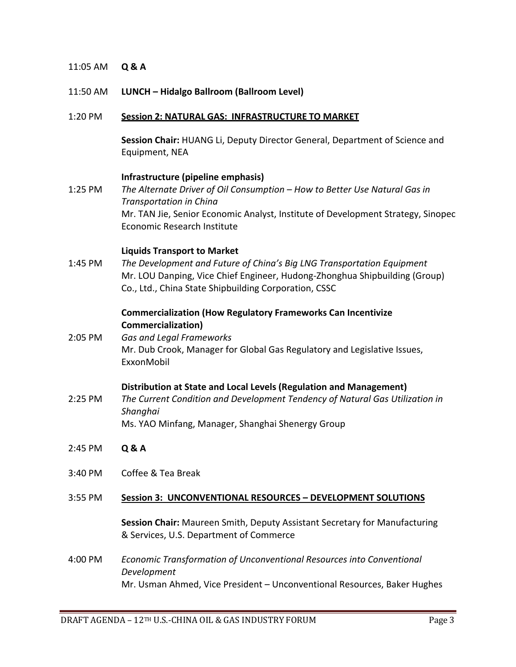# 11:05 AM **Q & A**

#### 11:50 AM **LUNCH – Hidalgo Ballroom (Ballroom Level)**

#### 1:20 PM **Session 2: NATURAL GAS: INFRASTRUCTURE TO MARKET**

**Session Chair:** HUANG Li, Deputy Director General, Department of Science and Equipment, NEA

#### **Infrastructure (pipeline emphasis)**

1:25 PM *The Alternate Driver of Oil Consumption – How to Better Use Natural Gas in Transportation in China* Mr. TAN Jie, Senior Economic Analyst, Institute of Development Strategy, Sinopec Economic Research Institute

#### **Liquids Transport to Market**

1:45 PM *The Development and Future of China's Big LNG Transportation Equipment* Mr. LOU Danping, Vice Chief Engineer, Hudong-Zhonghua Shipbuilding (Group) Co., Ltd., China State Shipbuilding Corporation, CSSC

# **Commercialization (How Regulatory Frameworks Can Incentivize Commercialization)**

2:05 PM *Gas and Legal Frameworks* Mr. Dub Crook, Manager for Global Gas Regulatory and Legislative Issues, ExxonMobil

#### **Distribution at State and Local Levels (Regulation and Management)**

- 2:25 PM *The Current Condition and Development Tendency of Natural Gas Utilization in Shanghai* Ms. YAO Minfang, Manager, Shanghai Shenergy Group
- 2:45 PM **Q & A**
- 3:40 PM Coffee & Tea Break

#### 3:55 PM **Session 3: UNCONVENTIONAL RESOURCES – DEVELOPMENT SOLUTIONS**

**Session Chair:** Maureen Smith, Deputy Assistant Secretary for Manufacturing & Services, U.S. Department of Commerce

4:00 PM *Economic Transformation of Unconventional Resources into Conventional Development* Mr. Usman Ahmed, Vice President – Unconventional Resources, Baker Hughes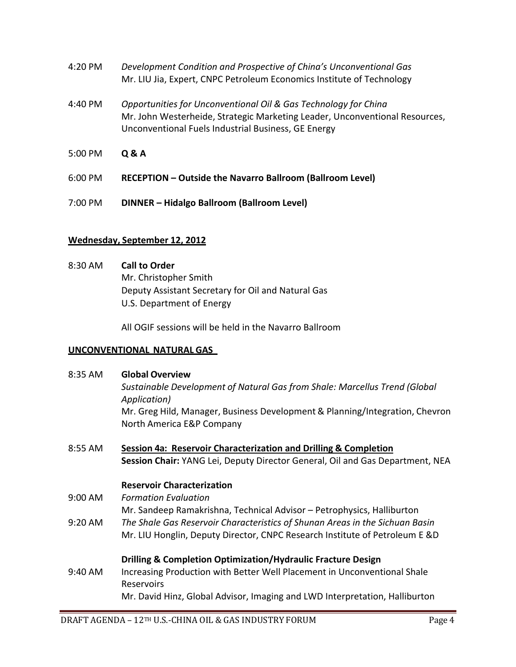- 4:20 PM *Development Condition and Prospective of China's Unconventional Gas* Mr. LIU Jia, Expert, CNPC Petroleum Economics Institute of Technology
- 4:40 PM *Opportunities for Unconventional Oil & Gas Technology for China* Mr. John Westerheide, Strategic Marketing Leader, Unconventional Resources, Unconventional Fuels Industrial Business, GE Energy
- 5:00 PM **Q & A**
- 6:00 PM **RECEPTION – Outside the Navarro Ballroom (Ballroom Level)**
- 7:00 PM **DINNER – Hidalgo Ballroom (Ballroom Level)**

# **Wednesday, September 12, 2012**

8:30 AM **Call to Order**  Mr. Christopher Smith Deputy Assistant Secretary for Oil and Natural Gas U.S. Department of Energy

All OGIF sessions will be held in the Navarro Ballroom

# **UNCONVENTIONAL NATURAL GAS**

| 8:35 AM | <b>Global Overview</b><br>Sustainable Development of Natural Gas from Shale: Marcellus Trend (Global      |
|---------|-----------------------------------------------------------------------------------------------------------|
|         | Application)                                                                                              |
|         | Mr. Greg Hild, Manager, Business Development & Planning/Integration, Chevron<br>North America E&P Company |
| 8:55 AM | Session 4a: Reservoir Characterization and Drilling & Completion                                          |
|         | Session Chair: YANG Lei, Deputy Director General, Oil and Gas Department, NEA                             |
|         | <b>Reservoir Characterization</b>                                                                         |
| 9:00 AM | <b>Formation Evaluation</b>                                                                               |
|         | Mr. Sandeep Ramakrishna, Technical Advisor – Petrophysics, Halliburton                                    |
| 9:20 AM | The Shale Gas Reservoir Characteristics of Shunan Areas in the Sichuan Basin                              |
|         | Mr. LIU Honglin, Deputy Director, CNPC Research Institute of Petroleum E &D                               |
|         | <b>Drilling &amp; Completion Optimization/Hydraulic Fracture Design</b>                                   |
| 9:40 AM | Increasing Production with Better Well Placement in Unconventional Shale<br>Reservoirs                    |
|         | Mr. David Hinz, Global Advisor, Imaging and LWD Interpretation, Halliburton                               |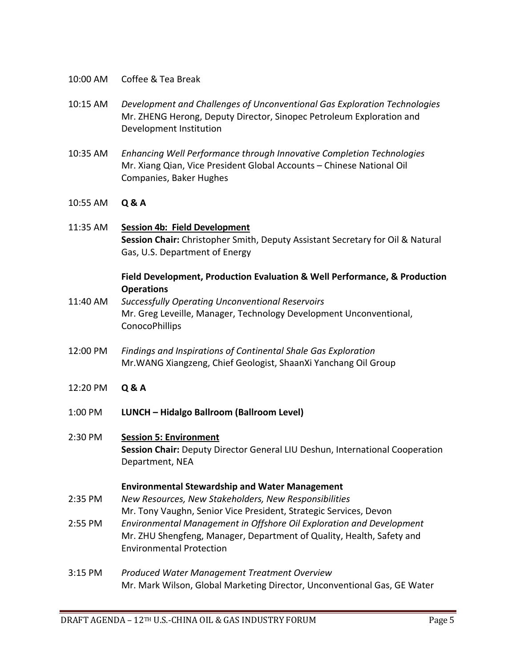- 10:00 AM Coffee & Tea Break
- 10:15 AM *Development and Challenges of Unconventional Gas Exploration Technologies* Mr. ZHENG Herong, Deputy Director, Sinopec Petroleum Exploration and Development Institution
- 10:35 AM *Enhancing Well Performance through Innovative Completion Technologies* Mr. Xiang Qian, Vice President Global Accounts – Chinese National Oil Companies, Baker Hughes
- 10:55 AM **Q & A**

# 11:35 AM **Session 4b: Field Development Session Chair:** Christopher Smith, Deputy Assistant Secretary for Oil & Natural Gas, U.S. Department of Energy

# **Field Development, Production Evaluation & Well Performance, & Production Operations**

- 11:40 AM *Successfully Operating Unconventional Reservoirs* Mr. Greg Leveille, Manager, Technology Development Unconventional, ConocoPhillips
- 12:00 PM *Findings and Inspirations of Continental Shale Gas Exploration* Mr.WANG Xiangzeng, Chief Geologist, ShaanXi Yanchang Oil Group
- 12:20 PM **Q & A**
- 1:00 PM **LUNCH – Hidalgo Ballroom (Ballroom Level)**

# 2:30 PM **Session 5: Environment Session Chair:** Deputy Director General LIU Deshun, International Cooperation Department, NEA

#### **Environmental Stewardship and Water Management**

- 2:35 PM *New Resources, New Stakeholders, New Responsibilities* Mr. Tony Vaughn, Senior Vice President, Strategic Services, Devon
- 2:55 PM *Environmental Management in Offshore Oil Exploration and Development* Mr. ZHU Shengfeng, Manager, Department of Quality, Health, Safety and Environmental Protection
- 3:15 PM *Produced Water Management Treatment Overview* Mr. Mark Wilson, Global Marketing Director, Unconventional Gas, GE Water